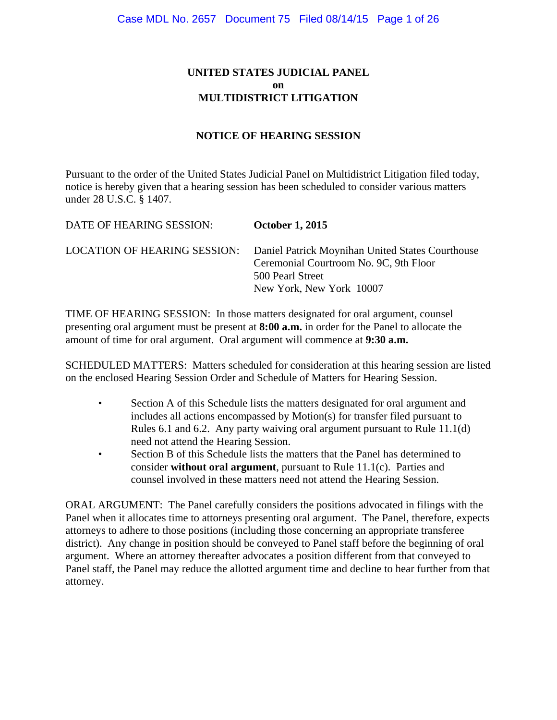# **UNITED STATES JUDICIAL PANEL on MULTIDISTRICT LITIGATION**

### **NOTICE OF HEARING SESSION**

Pursuant to the order of the United States Judicial Panel on Multidistrict Litigation filed today, notice is hereby given that a hearing session has been scheduled to consider various matters under 28 U.S.C. § 1407.

| DATE OF HEARING SESSION:            | <b>October 1, 2015</b>                                                                                                                     |
|-------------------------------------|--------------------------------------------------------------------------------------------------------------------------------------------|
| <b>LOCATION OF HEARING SESSION:</b> | Daniel Patrick Moynihan United States Courthouse<br>Ceremonial Courtroom No. 9C, 9th Floor<br>500 Pearl Street<br>New York, New York 10007 |

TIME OF HEARING SESSION: In those matters designated for oral argument, counsel presenting oral argument must be present at **8:00 a.m.** in order for the Panel to allocate the amount of time for oral argument. Oral argument will commence at **9:30 a.m.**

SCHEDULED MATTERS: Matters scheduled for consideration at this hearing session are listed on the enclosed Hearing Session Order and Schedule of Matters for Hearing Session.

- Section A of this Schedule lists the matters designated for oral argument and includes all actions encompassed by Motion(s) for transfer filed pursuant to Rules 6.1 and 6.2. Any party waiving oral argument pursuant to Rule 11.1(d) need not attend the Hearing Session.
- Section B of this Schedule lists the matters that the Panel has determined to consider **without oral argument**, pursuant to Rule 11.1(c). Parties and counsel involved in these matters need not attend the Hearing Session.

ORAL ARGUMENT: The Panel carefully considers the positions advocated in filings with the Panel when it allocates time to attorneys presenting oral argument. The Panel, therefore, expects attorneys to adhere to those positions (including those concerning an appropriate transferee district). Any change in position should be conveyed to Panel staff before the beginning of oral argument. Where an attorney thereafter advocates a position different from that conveyed to Panel staff, the Panel may reduce the allotted argument time and decline to hear further from that attorney.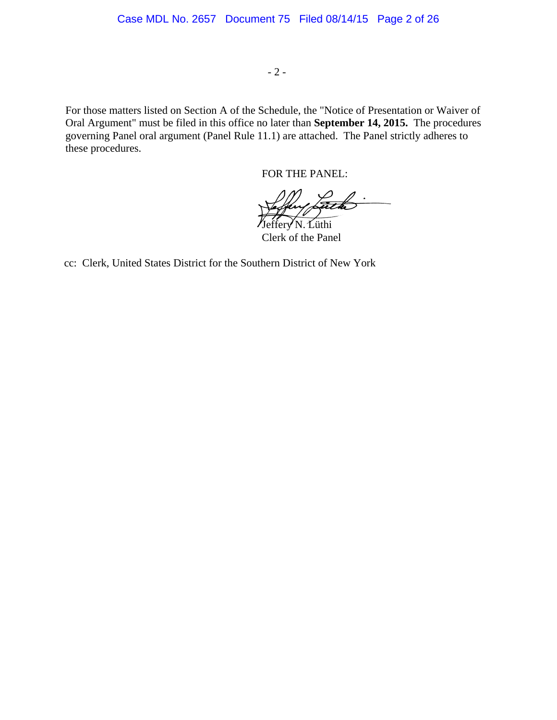- 2 -

For those matters listed on Section A of the Schedule, the "Notice of Presentation or Waiver of Oral Argument" must be filed in this office no later than **September 14, 2015.** The procedures governing Panel oral argument (Panel Rule 11.1) are attached. The Panel strictly adheres to these procedures.

FOR THE PANEL:

Jeffery N. Lüthi

Clerk of the Panel

cc: Clerk, United States District for the Southern District of New York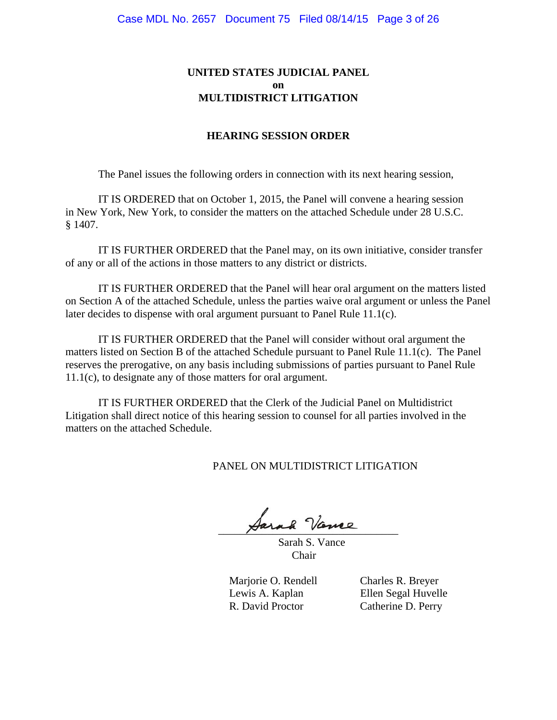### **UNITED STATES JUDICIAL PANEL on MULTIDISTRICT LITIGATION**

#### **HEARING SESSION ORDER**

The Panel issues the following orders in connection with its next hearing session,

IT IS ORDERED that on October 1, 2015, the Panel will convene a hearing session in New York, New York, to consider the matters on the attached Schedule under 28 U.S.C. § 1407.

IT IS FURTHER ORDERED that the Panel may, on its own initiative, consider transfer of any or all of the actions in those matters to any district or districts.

IT IS FURTHER ORDERED that the Panel will hear oral argument on the matters listed on Section A of the attached Schedule, unless the parties waive oral argument or unless the Panel later decides to dispense with oral argument pursuant to Panel Rule 11.1(c).

IT IS FURTHER ORDERED that the Panel will consider without oral argument the matters listed on Section B of the attached Schedule pursuant to Panel Rule 11.1(c). The Panel reserves the prerogative, on any basis including submissions of parties pursuant to Panel Rule 11.1(c), to designate any of those matters for oral argument.

IT IS FURTHER ORDERED that the Clerk of the Judicial Panel on Multidistrict Litigation shall direct notice of this hearing session to counsel for all parties involved in the matters on the attached Schedule.

PANEL ON MULTIDISTRICT LITIGATION

 $\forall$ ura vanne

 Sarah S. Vance Chair

Marjorie O. Rendell Charles R. Breyer R. David Proctor Catherine D. Perry

Lewis A. Kaplan Ellen Segal Huvelle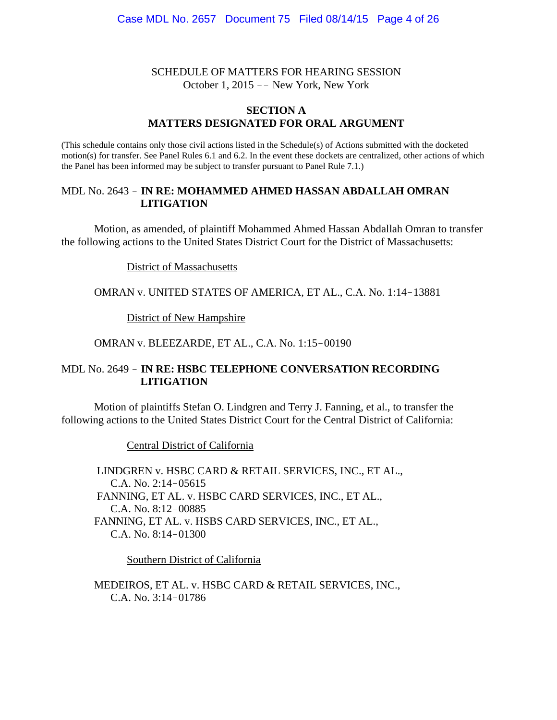#### SCHEDULE OF MATTERS FOR HEARING SESSION October 1, 2015 -- New York, New York

#### **SECTION A MATTERS DESIGNATED FOR ORAL ARGUMENT**

(This schedule contains only those civil actions listed in the Schedule(s) of Actions submitted with the docketed motion(s) for transfer. See Panel Rules 6.1 and 6.2. In the event these dockets are centralized, other actions of which the Panel has been informed may be subject to transfer pursuant to Panel Rule 7.1.)

#### MDL No. 2643 ! **IN RE: MOHAMMED AHMED HASSAN ABDALLAH OMRAN LITIGATION**

Motion, as amended, of plaintiff Mohammed Ahmed Hassan Abdallah Omran to transfer the following actions to the United States District Court for the District of Massachusetts:

#### District of Massachusetts

#### OMRAN v. UNITED STATES OF AMERICA, ET AL., C.A. No. 1:14-13881

#### District of New Hampshire

#### OMRAN v. BLEEZARDE, ET AL., C.A. No. 1:15-00190

### MDL No. 2649 ! **IN RE: HSBC TELEPHONE CONVERSATION RECORDING LITIGATION**

Motion of plaintiffs Stefan O. Lindgren and Terry J. Fanning, et al., to transfer the following actions to the United States District Court for the Central District of California:

Central District of California

 LINDGREN v. HSBC CARD & RETAIL SERVICES, INC., ET AL., C.A. No.  $2:14-05615$  FANNING, ET AL. v. HSBC CARD SERVICES, INC., ET AL., C.A. No. 8:12-00885 FANNING, ET AL. v. HSBS CARD SERVICES, INC., ET AL., C.A. No.  $8:14-01300$ 

Southern District of California

MEDEIROS, ET AL. v. HSBC CARD & RETAIL SERVICES, INC., C.A. No.  $3:14-01786$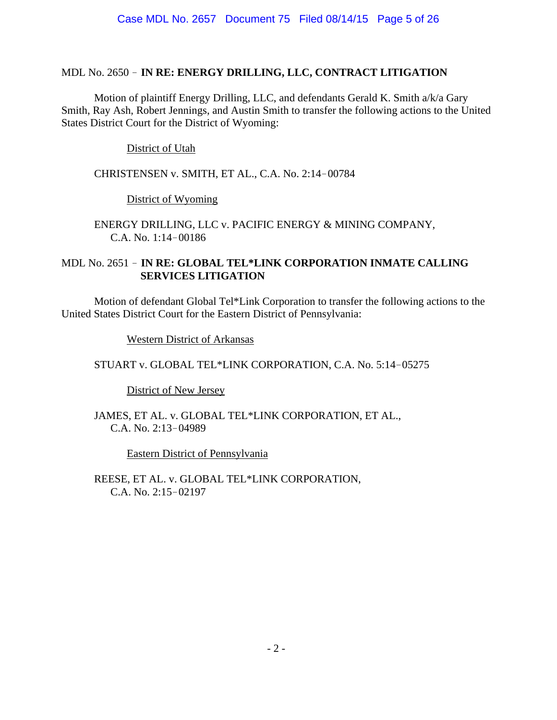## MDL No. 2650 ! **IN RE: ENERGY DRILLING, LLC, CONTRACT LITIGATION**

Motion of plaintiff Energy Drilling, LLC, and defendants Gerald K. Smith a/k/a Gary Smith, Ray Ash, Robert Jennings, and Austin Smith to transfer the following actions to the United States District Court for the District of Wyoming:

District of Utah

CHRISTENSEN v. SMITH, ET AL., C.A. No. 2:14-00784

# District of Wyoming

ENERGY DRILLING, LLC v. PACIFIC ENERGY & MINING COMPANY, C.A. No.  $1:14-00186$ 

# MDL No. 2651 ! **IN RE: GLOBAL TEL\*LINK CORPORATION INMATE CALLING SERVICES LITIGATION**

Motion of defendant Global Tel\*Link Corporation to transfer the following actions to the United States District Court for the Eastern District of Pennsylvania:

Western District of Arkansas

STUART v. GLOBAL TEL\*LINK CORPORATION, C.A. No. 5:14-05275

District of New Jersey

JAMES, ET AL. v. GLOBAL TEL\*LINK CORPORATION, ET AL., C.A. No. 2:13-04989

Eastern District of Pennsylvania

REESE, ET AL. v. GLOBAL TEL\*LINK CORPORATION, C.A. No.  $2:15-02197$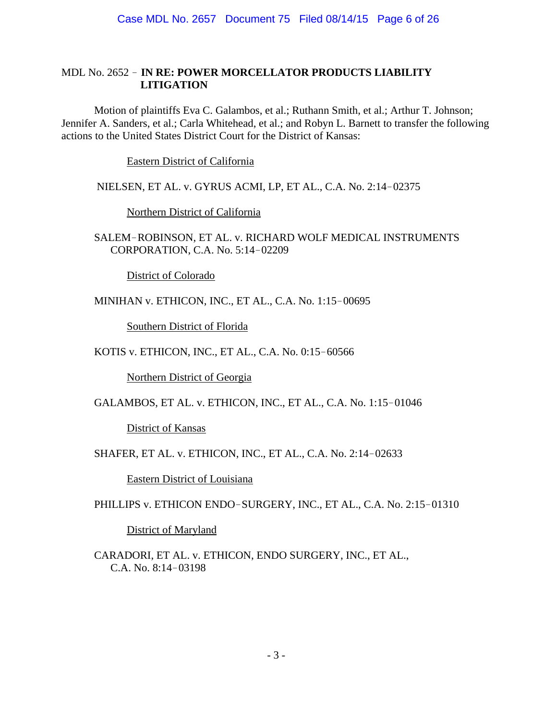## MDL No. 2652 ! **IN RE: POWER MORCELLATOR PRODUCTS LIABILITY LITIGATION**

Motion of plaintiffs Eva C. Galambos, et al.; Ruthann Smith, et al.; Arthur T. Johnson; Jennifer A. Sanders, et al.; Carla Whitehead, et al.; and Robyn L. Barnett to transfer the following actions to the United States District Court for the District of Kansas:

Eastern District of California

NIELSEN, ET AL. v. GYRUS ACMI, LP, ET AL., C.A. No. 2:14-02375

Northern District of California

SALEM-ROBINSON, ET AL. v. RICHARD WOLF MEDICAL INSTRUMENTS CORPORATION, C.A. No. 5:14-02209

District of Colorado

MINIHAN v. ETHICON, INC., ET AL., C.A. No. 1:15-00695

Southern District of Florida

KOTIS v. ETHICON, INC., ET AL., C.A. No. 0:15-60566

Northern District of Georgia

GALAMBOS, ET AL. v. ETHICON, INC., ET AL., C.A. No. 1:15-01046

District of Kansas

SHAFER, ET AL. v. ETHICON, INC., ET AL., C.A. No. 2:14-02633

Eastern District of Louisiana

PHILLIPS v. ETHICON ENDO-SURGERY, INC., ET AL., C.A. No. 2:15-01310

District of Maryland

CARADORI, ET AL. v. ETHICON, ENDO SURGERY, INC., ET AL., C.A. No.  $8:14-03198$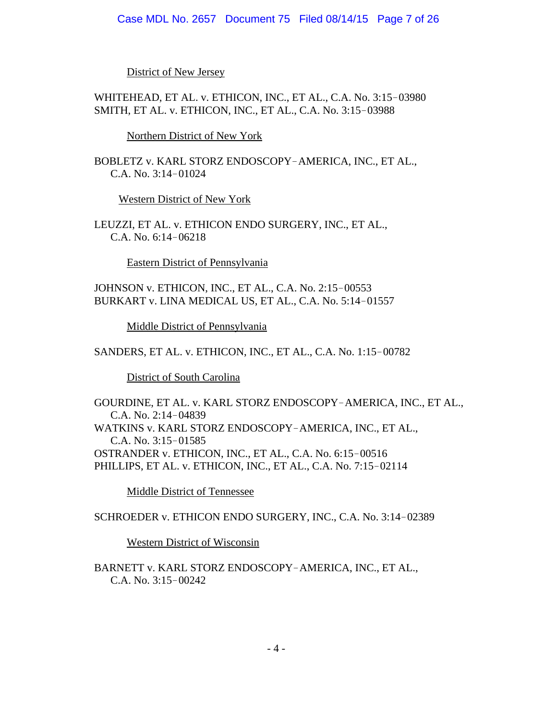District of New Jersey

WHITEHEAD, ET AL. v. ETHICON, INC., ET AL., C.A. No. 3:15-03980 SMITH, ET AL. v. ETHICON, INC., ET AL., C.A. No. 3:15-03988

Northern District of New York

BOBLETZ v. KARL STORZ ENDOSCOPY-AMERICA, INC., ET AL., C.A. No.  $3:14-01024$ 

Western District of New York

LEUZZI, ET AL. v. ETHICON ENDO SURGERY, INC., ET AL., C.A. No.  $6:14-06218$ 

Eastern District of Pennsylvania

JOHNSON v. ETHICON, INC., ET AL., C.A. No. 2:15-00553 BURKART v. LINA MEDICAL US, ET AL., C.A. No. 5:14-01557

Middle District of Pennsylvania

SANDERS, ET AL. v. ETHICON, INC., ET AL., C.A. No. 1:15-00782

District of South Carolina

GOURDINE, ET AL. v. KARL STORZ ENDOSCOPY-AMERICA, INC., ET AL., C.A. No.  $2:14-04839$ WATKINS v. KARL STORZ ENDOSCOPY-AMERICA, INC., ET AL., C.A. No.  $3:15-01585$ OSTRANDER v. ETHICON, INC., ET AL., C.A. No. 6:15-00516 PHILLIPS, ET AL. v. ETHICON, INC., ET AL., C.A. No. 7:15-02114

Middle District of Tennessee

SCHROEDER v. ETHICON ENDO SURGERY, INC., C.A. No. 3:14-02389

Western District of Wisconsin

BARNETT v. KARL STORZ ENDOSCOPY-AMERICA, INC., ET AL., C.A. No. 3:15-00242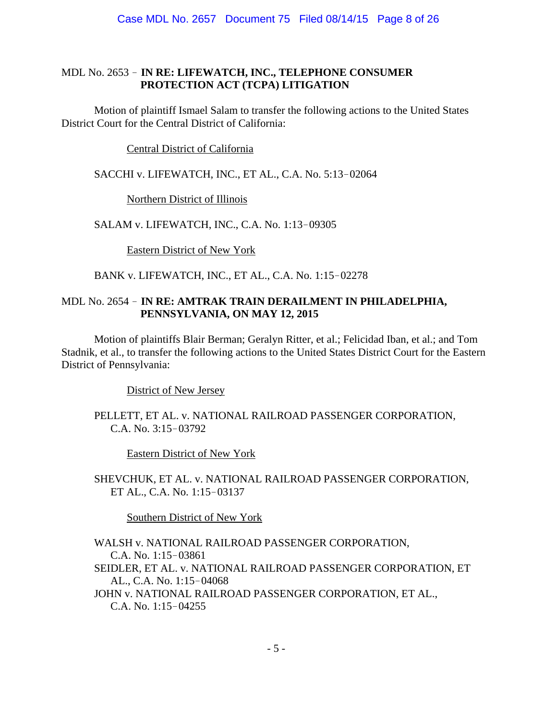## MDL No. 2653 ! **IN RE: LIFEWATCH, INC., TELEPHONE CONSUMER PROTECTION ACT (TCPA) LITIGATION**

Motion of plaintiff Ismael Salam to transfer the following actions to the United States District Court for the Central District of California:

Central District of California

SACCHI v. LIFEWATCH, INC., ET AL., C.A. No. 5:13-02064

Northern District of Illinois

SALAM v. LIFEWATCH, INC., C.A. No. 1:13-09305

Eastern District of New York

BANK v. LIFEWATCH, INC., ET AL., C.A. No. 1:15-02278

## MDL No. 2654 ! **IN RE: AMTRAK TRAIN DERAILMENT IN PHILADELPHIA, PENNSYLVANIA, ON MAY 12, 2015**

Motion of plaintiffs Blair Berman; Geralyn Ritter, et al.; Felicidad Iban, et al.; and Tom Stadnik, et al., to transfer the following actions to the United States District Court for the Eastern District of Pennsylvania:

District of New Jersey

PELLETT, ET AL. v. NATIONAL RAILROAD PASSENGER CORPORATION, C.A. No.  $3:15-03792$ 

Eastern District of New York

SHEVCHUK, ET AL. v. NATIONAL RAILROAD PASSENGER CORPORATION, ET AL., C.A. No. 1:15-03137

Southern District of New York

WALSH v. NATIONAL RAILROAD PASSENGER CORPORATION, C.A. No. 1:15-03861 SEIDLER, ET AL. v. NATIONAL RAILROAD PASSENGER CORPORATION, ET AL., C.A. No. 1:15-04068 JOHN v. NATIONAL RAILROAD PASSENGER CORPORATION, ET AL., C.A. No.  $1:15-04255$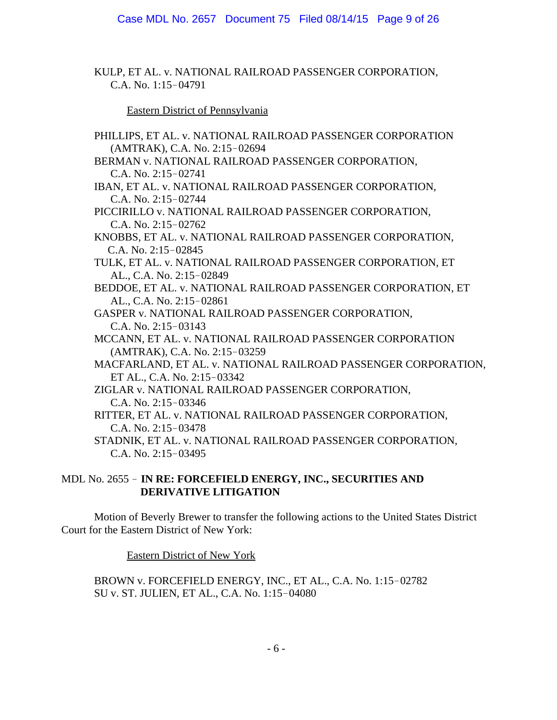KULP, ET AL. v. NATIONAL RAILROAD PASSENGER CORPORATION, C.A. No. 1:15-04791

Eastern District of Pennsylvania

PHILLIPS, ET AL. v. NATIONAL RAILROAD PASSENGER CORPORATION (AMTRAK), C.A. No. 2:15-02694 BERMAN v. NATIONAL RAILROAD PASSENGER CORPORATION, C.A. No.  $2:15-02741$ IBAN, ET AL. v. NATIONAL RAILROAD PASSENGER CORPORATION, C.A. No.  $2:15-02744$ PICCIRILLO v. NATIONAL RAILROAD PASSENGER CORPORATION, C.A. No. 2:15-02762 KNOBBS, ET AL. v. NATIONAL RAILROAD PASSENGER CORPORATION, C.A. No. 2:15-02845 TULK, ET AL. v. NATIONAL RAILROAD PASSENGER CORPORATION, ET AL., C.A. No. 2:15-02849 BEDDOE, ET AL. v. NATIONAL RAILROAD PASSENGER CORPORATION, ET AL., C.A. No. 2:15-02861 GASPER v. NATIONAL RAILROAD PASSENGER CORPORATION, C.A. No. 2:15-03143 MCCANN, ET AL. v. NATIONAL RAILROAD PASSENGER CORPORATION (AMTRAK), C.A. No. 2:15-03259 MACFARLAND, ET AL. v. NATIONAL RAILROAD PASSENGER CORPORATION, ET AL., C.A. No. 2:15-03342 ZIGLAR v. NATIONAL RAILROAD PASSENGER CORPORATION, C.A. No.  $2:15-03346$ RITTER, ET AL. v. NATIONAL RAILROAD PASSENGER CORPORATION, C.A. No. 2:15-03478 STADNIK, ET AL. v. NATIONAL RAILROAD PASSENGER CORPORATION, C.A. No.  $2:15-03495$ 

## MDL No. 2655 ! **IN RE: FORCEFIELD ENERGY, INC., SECURITIES AND DERIVATIVE LITIGATION**

Motion of Beverly Brewer to transfer the following actions to the United States District Court for the Eastern District of New York:

Eastern District of New York

BROWN v. FORCEFIELD ENERGY, INC., ET AL., C.A. No. 1:15-02782 SU v. ST. JULIEN, ET AL., C.A. No. 1:15-04080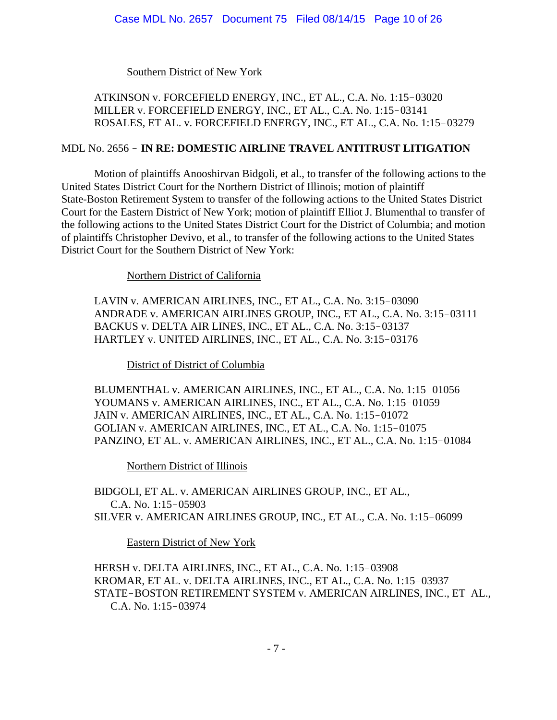Southern District of New York

ATKINSON v. FORCEFIELD ENERGY, INC., ET AL., C.A. No. 1:15-03020 MILLER v. FORCEFIELD ENERGY, INC., ET AL., C.A. No. 1:15-03141 ROSALES, ET AL. v. FORCEFIELD ENERGY, INC., ET AL., C.A. No. 1:15-03279

### MDL No. 2656 ! **IN RE: DOMESTIC AIRLINE TRAVEL ANTITRUST LITIGATION**

Motion of plaintiffs Anooshirvan Bidgoli, et al., to transfer of the following actions to the United States District Court for the Northern District of Illinois; motion of plaintiff State-Boston Retirement System to transfer of the following actions to the United States District Court for the Eastern District of New York; motion of plaintiff Elliot J. Blumenthal to transfer of the following actions to the United States District Court for the District of Columbia; and motion of plaintiffs Christopher Devivo, et al., to transfer of the following actions to the United States District Court for the Southern District of New York:

Northern District of California

LAVIN v. AMERICAN AIRLINES, INC., ET AL., C.A. No. 3:15-03090 ANDRADE v. AMERICAN AIRLINES GROUP, INC., ET AL., C.A. No. 3:15-03111 BACKUS v. DELTA AIR LINES, INC., ET AL., C.A. No. 3:15-03137 HARTLEY v. UNITED AIRLINES, INC., ET AL., C.A. No. 3:15-03176

District of District of Columbia

BLUMENTHAL v. AMERICAN AIRLINES, INC., ET AL., C.A. No. 1:15-01056 YOUMANS v. AMERICAN AIRLINES, INC., ET AL., C.A. No. 1:15-01059 JAIN v. AMERICAN AIRLINES, INC., ET AL., C.A. No. 1:15-01072 GOLIAN v. AMERICAN AIRLINES, INC., ET AL., C.A. No. 1:15-01075 PANZINO, ET AL. v. AMERICAN AIRLINES, INC., ET AL., C.A. No. 1:15-01084

Northern District of Illinois

BIDGOLI, ET AL. v. AMERICAN AIRLINES GROUP, INC., ET AL., C.A. No. 1:15-05903 SILVER v. AMERICAN AIRLINES GROUP, INC., ET AL., C.A. No. 1:15-06099

Eastern District of New York

HERSH v. DELTA AIRLINES, INC., ET AL., C.A. No. 1:15-03908 KROMAR, ET AL. v. DELTA AIRLINES, INC., ET AL., C.A. No. 1:15-03937 STATE-BOSTON RETIREMENT SYSTEM v. AMERICAN AIRLINES, INC., ET AL., C.A. No. 1:15-03974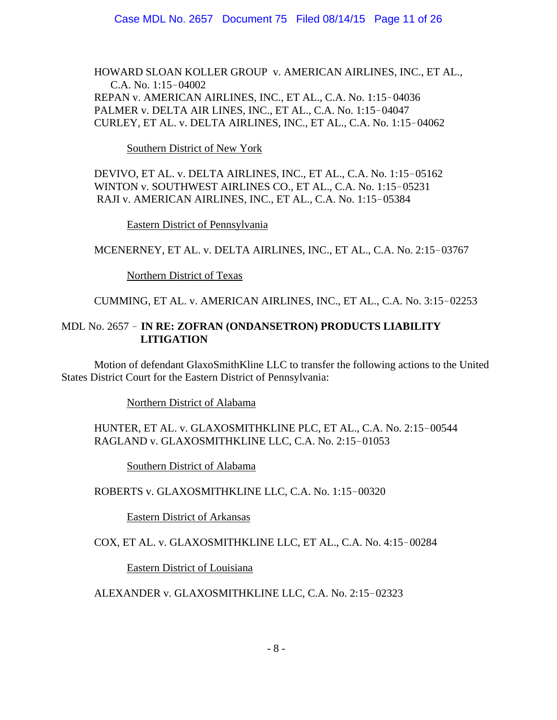HOWARD SLOAN KOLLER GROUP v. AMERICAN AIRLINES, INC., ET AL., C.A. No.  $1:15-04002$ REPAN v. AMERICAN AIRLINES, INC., ET AL., C.A. No. 1:15-04036 PALMER v. DELTA AIR LINES, INC., ET AL., C.A. No. 1:15-04047 CURLEY, ET AL. v. DELTA AIRLINES, INC., ET AL., C.A. No. 1:15-04062

Southern District of New York

DEVIVO, ET AL. v. DELTA AIRLINES, INC., ET AL., C.A. No. 1:15-05162 WINTON v. SOUTHWEST AIRLINES CO., ET AL., C.A. No. 1:15-05231 RAJI v. AMERICAN AIRLINES, INC., ET AL., C.A. No. 1:15-05384

Eastern District of Pennsylvania

MCENERNEY, ET AL. v. DELTA AIRLINES, INC., ET AL., C.A. No. 2:15-03767

Northern District of Texas

CUMMING, ET AL. v. AMERICAN AIRLINES, INC., ET AL., C.A. No. 3:15-02253

## MDL No. 2657 ! **IN RE: ZOFRAN (ONDANSETRON) PRODUCTS LIABILITY LITIGATION**

Motion of defendant GlaxoSmithKline LLC to transfer the following actions to the United States District Court for the Eastern District of Pennsylvania:

Northern District of Alabama

HUNTER, ET AL. v. GLAXOSMITHKLINE PLC, ET AL., C.A. No. 2:15-00544 RAGLAND v. GLAXOSMITHKLINE LLC, C.A. No. 2:15-01053

Southern District of Alabama

ROBERTS v. GLAXOSMITHKLINE LLC, C.A. No. 1:15-00320

Eastern District of Arkansas

COX, ET AL. v. GLAXOSMITHKLINE LLC, ET AL., C.A. No. 4:15-00284

Eastern District of Louisiana

ALEXANDER v. GLAXOSMITHKLINE LLC, C.A. No. 2:15-02323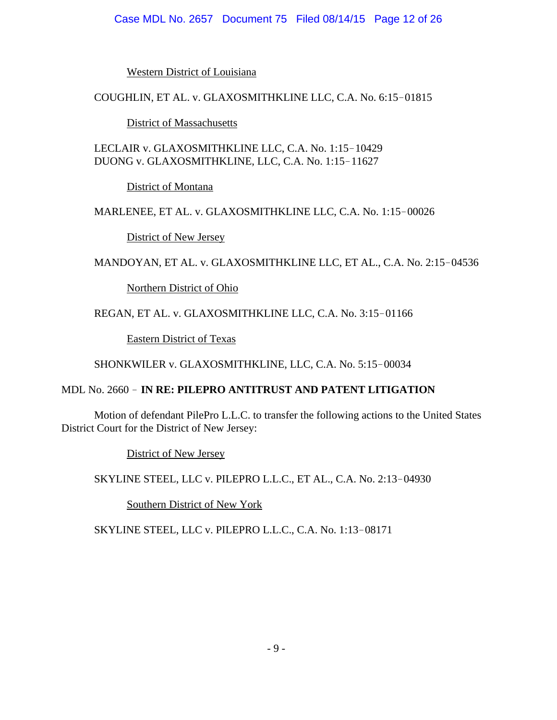### Case MDL No. 2657 Document 75 Filed 08/14/15 Page 12 of 26

Western District of Louisiana

COUGHLIN, ET AL. v. GLAXOSMITHKLINE LLC, C.A. No. 6:15-01815

District of Massachusetts

LECLAIR v. GLAXOSMITHKLINE LLC, C.A. No. 1:15-10429 DUONG v. GLAXOSMITHKLINE, LLC, C.A. No. 1:15-11627

District of Montana

MARLENEE, ET AL. v. GLAXOSMITHKLINE LLC, C.A. No. 1:15-00026

District of New Jersey

MANDOYAN, ET AL. v. GLAXOSMITHKLINE LLC, ET AL., C.A. No. 2:15-04536

Northern District of Ohio

REGAN, ET AL. v. GLAXOSMITHKLINE LLC, C.A. No. 3:15-01166

Eastern District of Texas

SHONKWILER v. GLAXOSMITHKLINE, LLC, C.A. No. 5:15-00034

# MDL No. 2660 ! **IN RE: PILEPRO ANTITRUST AND PATENT LITIGATION**

Motion of defendant PilePro L.L.C. to transfer the following actions to the United States District Court for the District of New Jersey:

District of New Jersey

SKYLINE STEEL, LLC v. PILEPRO L.L.C., ET AL., C.A. No. 2:13-04930

Southern District of New York

SKYLINE STEEL, LLC v. PILEPRO L.L.C., C.A. No. 1:13-08171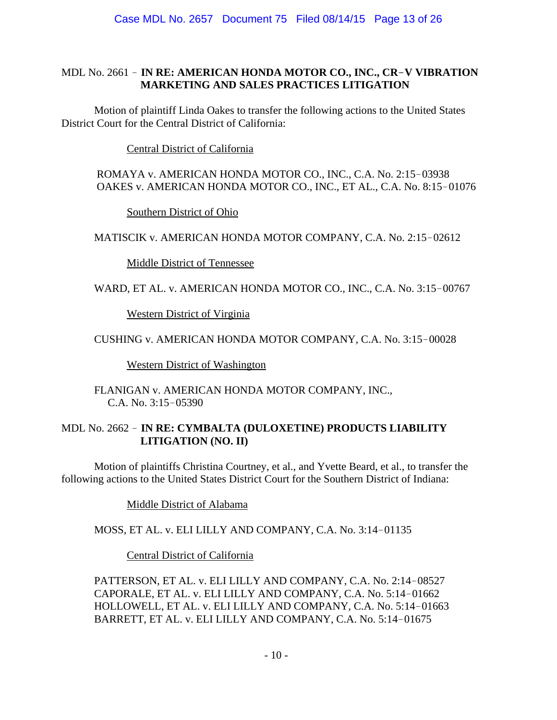## MDL No. 2661 ! **IN RE: AMERICAN HONDA MOTOR CO., INC., CR**!**V VIBRATION MARKETING AND SALES PRACTICES LITIGATION**

Motion of plaintiff Linda Oakes to transfer the following actions to the United States District Court for the Central District of California:

Central District of California

ROMAYA v. AMERICAN HONDA MOTOR CO., INC., C.A. No. 2:15-03938 OAKES v. AMERICAN HONDA MOTOR CO., INC., ET AL., C.A. No. 8:15-01076

Southern District of Ohio

MATISCIK v. AMERICAN HONDA MOTOR COMPANY, C.A. No. 2:15-02612

Middle District of Tennessee

WARD, ET AL. v. AMERICAN HONDA MOTOR CO., INC., C.A. No. 3:15-00767

Western District of Virginia

CUSHING v. AMERICAN HONDA MOTOR COMPANY, C.A. No. 3:15-00028

Western District of Washington

FLANIGAN v. AMERICAN HONDA MOTOR COMPANY, INC., C.A. No.  $3:15-05390$ 

### MDL No. 2662 ! **IN RE: CYMBALTA (DULOXETINE) PRODUCTS LIABILITY LITIGATION (NO. II)**

Motion of plaintiffs Christina Courtney, et al., and Yvette Beard, et al., to transfer the following actions to the United States District Court for the Southern District of Indiana:

Middle District of Alabama

MOSS, ET AL. v. ELI LILLY AND COMPANY, C.A. No. 3:14-01135

Central District of California

PATTERSON, ET AL. v. ELI LILLY AND COMPANY, C.A. No. 2:14-08527 CAPORALE, ET AL. v. ELI LILLY AND COMPANY, C.A. No. 5:14-01662 HOLLOWELL, ET AL. v. ELI LILLY AND COMPANY, C.A. No. 5:14-01663 BARRETT, ET AL. v. ELI LILLY AND COMPANY, C.A. No. 5:14-01675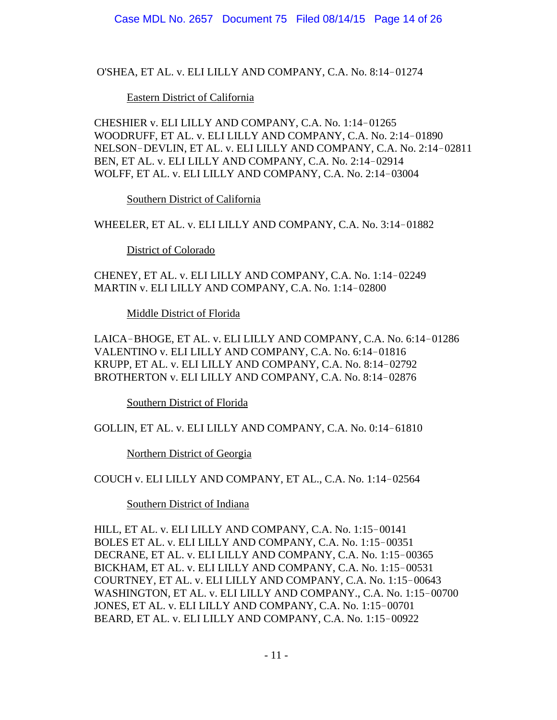O'SHEA, ET AL. v. ELI LILLY AND COMPANY, C.A. No. 8:14-01274

### Eastern District of California

CHESHIER v. ELI LILLY AND COMPANY, C.A. No. 1:14-01265 WOODRUFF, ET AL. v. ELI LILLY AND COMPANY, C.A. No. 2:14-01890 NELSON-DEVLIN, ET AL. v. ELI LILLY AND COMPANY, C.A. No. 2:14-02811 BEN, ET AL. v. ELI LILLY AND COMPANY, C.A. No. 2:14-02914 WOLFF, ET AL. v. ELI LILLY AND COMPANY, C.A. No. 2:14-03004

Southern District of California

WHEELER, ET AL. v. ELI LILLY AND COMPANY, C.A. No. 3:14-01882

District of Colorado

CHENEY, ET AL. v. ELI LILLY AND COMPANY, C.A. No. 1:14-02249 MARTIN v. ELI LILLY AND COMPANY, C.A. No. 1:14-02800

Middle District of Florida

LAICA-BHOGE, ET AL. v. ELI LILLY AND COMPANY, C.A. No. 6:14-01286 VALENTINO v. ELI LILLY AND COMPANY, C.A. No. 6:14-01816 KRUPP, ET AL. v. ELI LILLY AND COMPANY, C.A. No. 8:14-02792 BROTHERTON v. ELI LILLY AND COMPANY, C.A. No. 8:14-02876

Southern District of Florida

GOLLIN, ET AL. v. ELI LILLY AND COMPANY, C.A. No. 0:14-61810

Northern District of Georgia

COUCH v. ELI LILLY AND COMPANY, ET AL., C.A. No. 1:14-02564

Southern District of Indiana

HILL, ET AL. v. ELI LILLY AND COMPANY, C.A. No. 1:15-00141 BOLES ET AL. v. ELI LILLY AND COMPANY, C.A. No. 1:15-00351 DECRANE, ET AL. v. ELI LILLY AND COMPANY, C.A. No. 1:15-00365 BICKHAM, ET AL. v. ELI LILLY AND COMPANY, C.A. No. 1:15-00531 COURTNEY, ET AL. v. ELI LILLY AND COMPANY, C.A. No. 1:15-00643 WASHINGTON, ET AL. v. ELI LILLY AND COMPANY., C.A. No. 1:15-00700 JONES, ET AL. v. ELI LILLY AND COMPANY, C.A. No. 1:15-00701 BEARD, ET AL. v. ELI LILLY AND COMPANY, C.A. No. 1:15-00922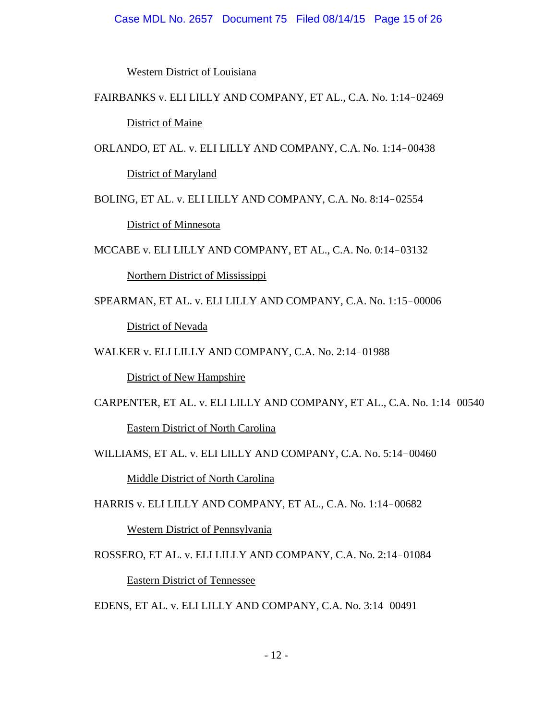#### Case MDL No. 2657 Document 75 Filed 08/14/15 Page 15 of 26

Western District of Louisiana

FAIRBANKS v. ELI LILLY AND COMPANY, ET AL., C.A. No. 1:14-02469

**District of Maine** 

ORLANDO, ET AL. v. ELI LILLY AND COMPANY, C.A. No. 1:14-00438 District of Maryland

BOLING, ET AL. v. ELI LILLY AND COMPANY, C.A. No. 8:14-02554 District of Minnesota

MCCABE v. ELI LILLY AND COMPANY, ET AL., C.A. No. 0:14-03132

Northern District of Mississippi

SPEARMAN, ET AL. v. ELI LILLY AND COMPANY, C.A. No. 1:15-00006 District of Nevada

WALKER v. ELI LILLY AND COMPANY, C.A. No. 2:14-01988

District of New Hampshire

CARPENTER, ET AL. v. ELI LILLY AND COMPANY, ET AL., C.A. No. 1:14-00540

Eastern District of North Carolina

WILLIAMS, ET AL. v. ELI LILLY AND COMPANY, C.A. No. 5:14-00460

Middle District of North Carolina

HARRIS v. ELI LILLY AND COMPANY, ET AL., C.A. No. 1:14-00682

Western District of Pennsylvania

ROSSERO, ET AL. v. ELI LILLY AND COMPANY, C.A. No. 2:14-01084

Eastern District of Tennessee

EDENS, ET AL. v. ELI LILLY AND COMPANY, C.A. No. 3:14-00491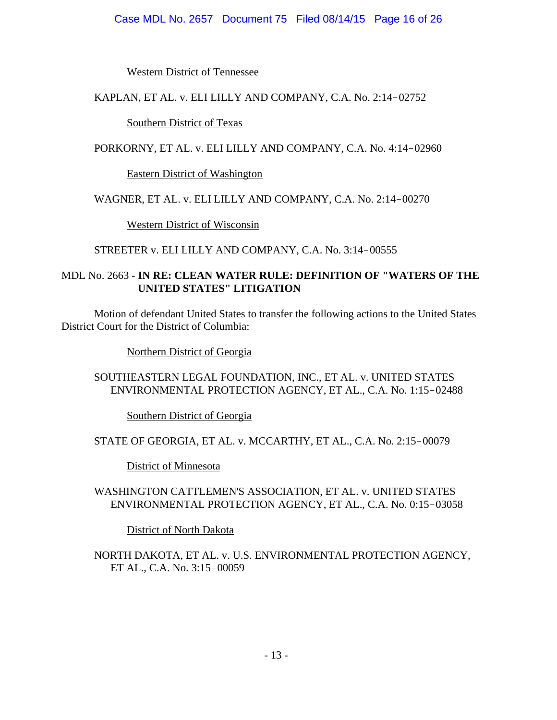#### Case MDL No. 2657 Document 75 Filed 08/14/15 Page 16 of 26

Western District of Tennessee

KAPLAN, ET AL. v. ELI LILLY AND COMPANY, C.A. No. 2:14-02752

Southern District of Texas

PORKORNY, ET AL. v. ELI LILLY AND COMPANY, C.A. No. 4:14-02960

Eastern District of Washington

### WAGNER, ET AL. v. ELI LILLY AND COMPANY, C.A. No. 2:14-00270

Western District of Wisconsin

STREETER v. ELI LILLY AND COMPANY, C.A. No. 3:14-00555

### MDL No. 2663 - **IN RE: CLEAN WATER RULE: DEFINITION OF "WATERS OF THE UNITED STATES" LITIGATION**

Motion of defendant United States to transfer the following actions to the United States District Court for the District of Columbia:

Northern District of Georgia

### SOUTHEASTERN LEGAL FOUNDATION, INC., ET AL. v. UNITED STATES ENVIRONMENTAL PROTECTION AGENCY, ET AL., C.A. No. 1:15-02488

Southern District of Georgia

STATE OF GEORGIA, ET AL. v. MCCARTHY, ET AL., C.A. No. 2:15-00079

District of Minnesota

WASHINGTON CATTLEMEN'S ASSOCIATION, ET AL. v. UNITED STATES ENVIRONMENTAL PROTECTION AGENCY, ET AL., C.A. No. 0:15-03058

District of North Dakota

NORTH DAKOTA, ET AL. v. U.S. ENVIRONMENTAL PROTECTION AGENCY, ET AL., C.A. No. 3:15-00059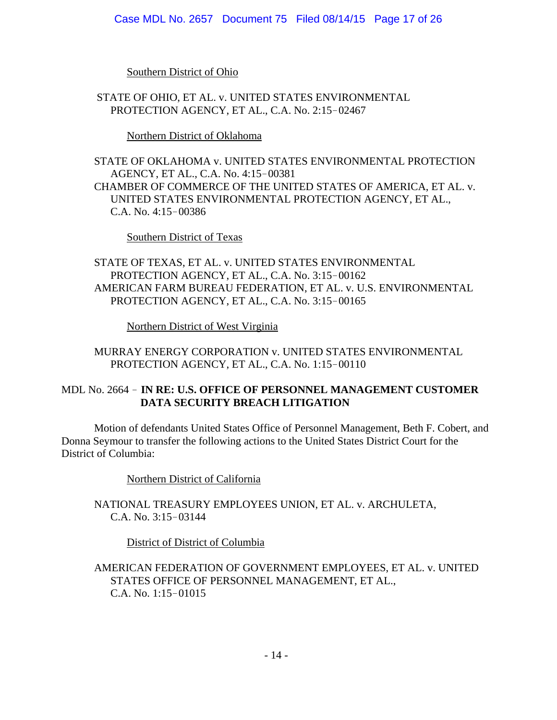#### Case MDL No. 2657 Document 75 Filed 08/14/15 Page 17 of 26

Southern District of Ohio

 STATE OF OHIO, ET AL. v. UNITED STATES ENVIRONMENTAL PROTECTION AGENCY, ET AL., C.A. No. 2:15-02467

Northern District of Oklahoma

STATE OF OKLAHOMA v. UNITED STATES ENVIRONMENTAL PROTECTION AGENCY, ET AL., C.A. No. 4:15-00381 CHAMBER OF COMMERCE OF THE UNITED STATES OF AMERICA, ET AL. v. UNITED STATES ENVIRONMENTAL PROTECTION AGENCY, ET AL., C.A. No.  $4:15-00386$ 

Southern District of Texas

STATE OF TEXAS, ET AL. v. UNITED STATES ENVIRONMENTAL PROTECTION AGENCY, ET AL., C.A. No. 3:15-00162 AMERICAN FARM BUREAU FEDERATION, ET AL. v. U.S. ENVIRONMENTAL PROTECTION AGENCY, ET AL., C.A. No. 3:15-00165

Northern District of West Virginia

MURRAY ENERGY CORPORATION v. UNITED STATES ENVIRONMENTAL PROTECTION AGENCY, ET AL., C.A. No. 1:15-00110

## MDL No. 2664 ! **IN RE: U.S. OFFICE OF PERSONNEL MANAGEMENT CUSTOMER DATA SECURITY BREACH LITIGATION**

Motion of defendants United States Office of Personnel Management, Beth F. Cobert, and Donna Seymour to transfer the following actions to the United States District Court for the District of Columbia:

Northern District of California

NATIONAL TREASURY EMPLOYEES UNION, ET AL. v. ARCHULETA, C.A. No.  $3:15-03144$ 

District of District of Columbia

AMERICAN FEDERATION OF GOVERNMENT EMPLOYEES, ET AL. v. UNITED STATES OFFICE OF PERSONNEL MANAGEMENT, ET AL., C.A. No.  $1:15-01015$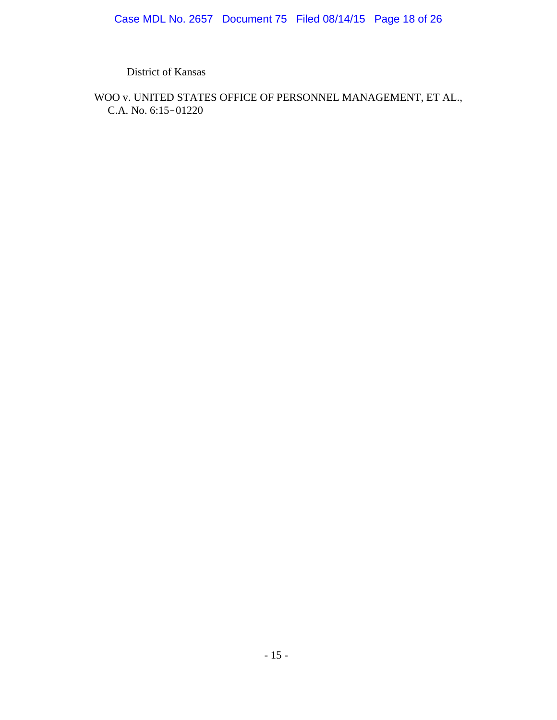District of Kansas

WOO v. UNITED STATES OFFICE OF PERSONNEL MANAGEMENT, ET AL., C.A. No. 6:15-01220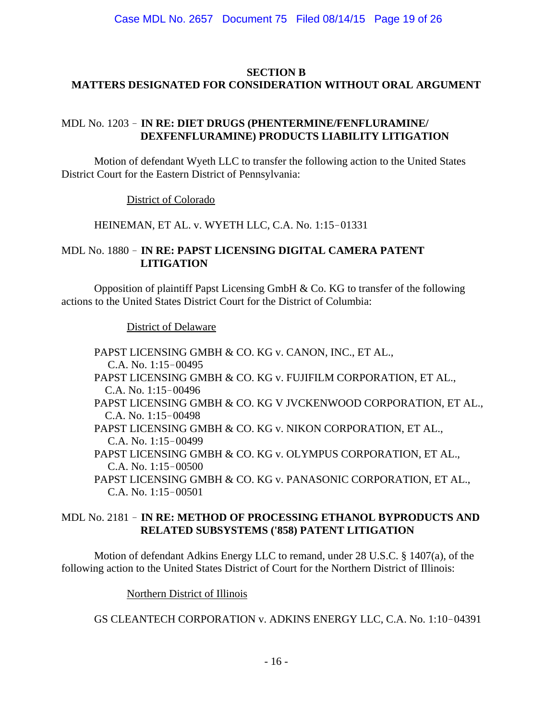## **SECTION B MATTERS DESIGNATED FOR CONSIDERATION WITHOUT ORAL ARGUMENT**

## MDL No. 1203 ! **IN RE: DIET DRUGS (PHENTERMINE/FENFLURAMINE/ DEXFENFLURAMINE) PRODUCTS LIABILITY LITIGATION**

Motion of defendant Wyeth LLC to transfer the following action to the United States District Court for the Eastern District of Pennsylvania:

District of Colorado

HEINEMAN, ET AL. v. WYETH LLC, C.A. No. 1:15-01331

## MDL No. 1880 ! **IN RE: PAPST LICENSING DIGITAL CAMERA PATENT LITIGATION**

Opposition of plaintiff Papst Licensing GmbH & Co. KG to transfer of the following actions to the United States District Court for the District of Columbia:

District of Delaware

PAPST LICENSING GMBH & CO. KG v. CANON, INC., ET AL., C.A. No. 1:15-00495 PAPST LICENSING GMBH & CO. KG v. FUJIFILM CORPORATION, ET AL., C.A. No.  $1:15-00496$ PAPST LICENSING GMBH & CO. KG V JVCKENWOOD CORPORATION, ET AL.,  $C.A.$  No.  $1:15-00498$ PAPST LICENSING GMBH & CO. KG v. NIKON CORPORATION, ET AL., C.A. No.  $1:15-00499$ PAPST LICENSING GMBH & CO. KG v. OLYMPUS CORPORATION, ET AL.,  $C.A.$  No.  $1:15-00500$ PAPST LICENSING GMBH & CO. KG v. PANASONIC CORPORATION, ET AL., C.A. No.  $1:15-00501$ 

## MDL No. 2181 ! **IN RE: METHOD OF PROCESSING ETHANOL BYPRODUCTS AND RELATED SUBSYSTEMS ('858) PATENT LITIGATION**

Motion of defendant Adkins Energy LLC to remand, under 28 U.S.C. § 1407(a), of the following action to the United States District of Court for the Northern District of Illinois:

Northern District of Illinois

GS CLEANTECH CORPORATION v. ADKINS ENERGY LLC, C.A. No. 1:10-04391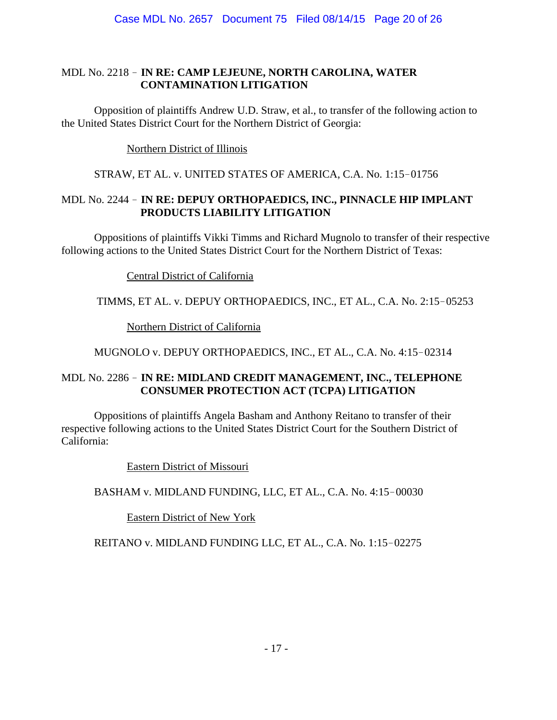## MDL No. 2218 ! **IN RE: CAMP LEJEUNE, NORTH CAROLINA, WATER CONTAMINATION LITIGATION**

Opposition of plaintiffs Andrew U.D. Straw, et al., to transfer of the following action to the United States District Court for the Northern District of Georgia:

Northern District of Illinois

STRAW, ET AL. v. UNITED STATES OF AMERICA, C.A. No. 1:15-01756

## MDL No. 2244 ! **IN RE: DEPUY ORTHOPAEDICS, INC., PINNACLE HIP IMPLANT PRODUCTS LIABILITY LITIGATION**

Oppositions of plaintiffs Vikki Timms and Richard Mugnolo to transfer of their respective following actions to the United States District Court for the Northern District of Texas:

Central District of California

TIMMS, ET AL. v. DEPUY ORTHOPAEDICS, INC., ET AL., C.A. No. 2:15-05253

Northern District of California

MUGNOLO v. DEPUY ORTHOPAEDICS, INC., ET AL., C.A. No. 4:15-02314

## MDL No. 2286 ! **IN RE: MIDLAND CREDIT MANAGEMENT, INC., TELEPHONE CONSUMER PROTECTION ACT (TCPA) LITIGATION**

Oppositions of plaintiffs Angela Basham and Anthony Reitano to transfer of their respective following actions to the United States District Court for the Southern District of California:

Eastern District of Missouri

BASHAM v. MIDLAND FUNDING, LLC, ET AL., C.A. No. 4:15-00030

Eastern District of New York

REITANO v. MIDLAND FUNDING LLC, ET AL., C.A. No. 1:15-02275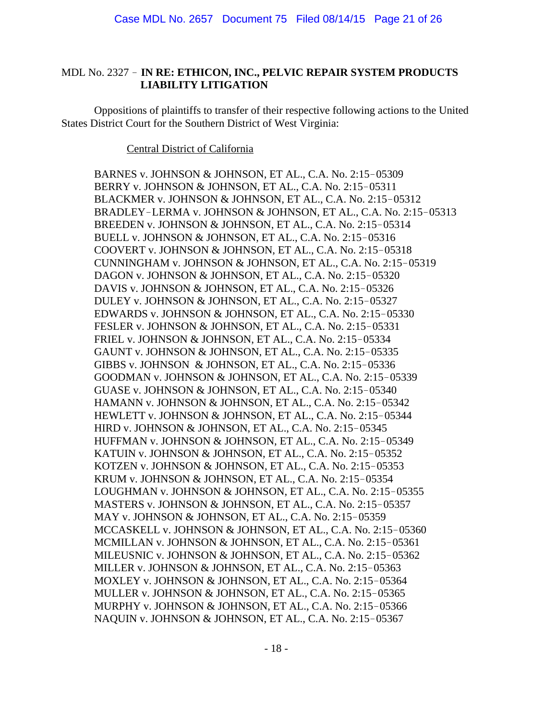## MDL No. 2327 ! **IN RE: ETHICON, INC., PELVIC REPAIR SYSTEM PRODUCTS LIABILITY LITIGATION**

Oppositions of plaintiffs to transfer of their respective following actions to the United States District Court for the Southern District of West Virginia:

#### Central District of California

BARNES v. JOHNSON & JOHNSON, ET AL., C.A. No. 2:15-05309 BERRY v. JOHNSON & JOHNSON, ET AL., C.A. No. 2:15-05311 BLACKMER v. JOHNSON & JOHNSON, ET AL., C.A. No. 2:15-05312 BRADLEY-LERMA v. JOHNSON & JOHNSON, ET AL., C.A. No. 2:15-05313 BREEDEN v. JOHNSON & JOHNSON, ET AL., C.A. No. 2:15-05314 BUELL v. JOHNSON & JOHNSON, ET AL., C.A. No. 2:15-05316 COOVERT v. JOHNSON & JOHNSON, ET AL., C.A. No. 2:15-05318 CUNNINGHAM v. JOHNSON & JOHNSON, ET AL., C.A. No. 2:15-05319 DAGON v. JOHNSON & JOHNSON, ET AL., C.A. No. 2:15-05320 DAVIS v. JOHNSON & JOHNSON, ET AL., C.A. No. 2:15-05326 DULEY v. JOHNSON & JOHNSON, ET AL., C.A. No. 2:15-05327 EDWARDS v. JOHNSON & JOHNSON, ET AL., C.A. No.  $2:15-05330$ FESLER v. JOHNSON & JOHNSON, ET AL., C.A. No. 2:15-05331 FRIEL v. JOHNSON & JOHNSON, ET AL., C.A. No. 2:15-05334 GAUNT v. JOHNSON & JOHNSON, ET AL., C.A. No. 2:15-05335 GIBBS v. JOHNSON & JOHNSON, ET AL., C.A. No. 2:15-05336 GOODMAN v. JOHNSON & JOHNSON, ET AL., C.A. No. 2:15-05339 GUASE v. JOHNSON & JOHNSON, ET AL., C.A. No. 2:15-05340 HAMANN v. JOHNSON & JOHNSON, ET AL., C.A. No. 2:15-05342 HEWLETT v. JOHNSON & JOHNSON, ET AL., C.A. No. 2:15-05344 HIRD v. JOHNSON & JOHNSON, ET AL., C.A. No. 2:15-05345 HUFFMAN v. JOHNSON & JOHNSON, ET AL., C.A. No. 2:15-05349 KATUIN v. JOHNSON & JOHNSON, ET AL., C.A. No. 2:15-05352 KOTZEN v. JOHNSON & JOHNSON, ET AL., C.A. No. 2:15-05353 KRUM v. JOHNSON & JOHNSON, ET AL., C.A. No. 2:15-05354 LOUGHMAN v. JOHNSON & JOHNSON, ET AL., C.A. No. 2:15-05355 MASTERS v. JOHNSON & JOHNSON, ET AL., C.A. No. 2:15-05357 MAY v. JOHNSON & JOHNSON, ET AL., C.A. No. 2:15-05359 MCCASKELL v. JOHNSON & JOHNSON, ET AL., C.A. No. 2:15-05360 MCMILLAN v. JOHNSON & JOHNSON, ET AL., C.A. No. 2:15-05361 MILEUSNIC v. JOHNSON & JOHNSON, ET AL., C.A. No. 2:15-05362 MILLER v. JOHNSON & JOHNSON, ET AL., C.A. No. 2:15-05363 MOXLEY v. JOHNSON & JOHNSON, ET AL., C.A. No. 2:15-05364 MULLER v. JOHNSON & JOHNSON, ET AL., C.A. No. 2:15-05365 MURPHY v. JOHNSON & JOHNSON, ET AL., C.A. No. 2:15-05366 NAQUIN v. JOHNSON & JOHNSON, ET AL., C.A. No. 2:15-05367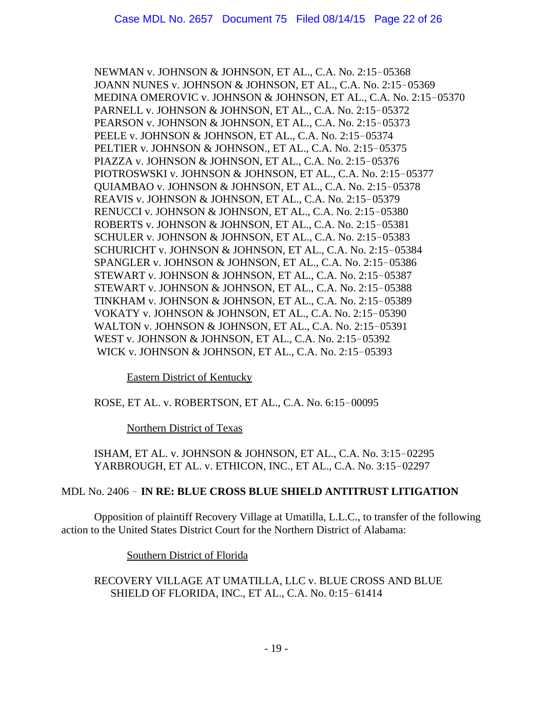NEWMAN v. JOHNSON & JOHNSON, ET AL., C.A. No. 2:15-05368 JOANN NUNES v. JOHNSON & JOHNSON, ET AL., C.A. No. 2:15-05369 MEDINA OMEROVIC v. JOHNSON & JOHNSON, ET AL., C.A. No. 2:15-05370 PARNELL v. JOHNSON & JOHNSON, ET AL., C.A. No. 2:15-05372 PEARSON v. JOHNSON & JOHNSON, ET AL., C.A. No. 2:15-05373 PEELE v. JOHNSON & JOHNSON, ET AL., C.A. No. 2:15-05374 PELTIER v. JOHNSON & JOHNSON., ET AL., C.A. No. 2:15-05375 PIAZZA v. JOHNSON & JOHNSON, ET AL., C.A. No. 2:15-05376 PIOTROSWSKI v. JOHNSON & JOHNSON, ET AL., C.A. No. 2:15-05377 OUIAMBAO v. JOHNSON & JOHNSON, ET AL., C.A. No. 2:15-05378 REAVIS v. JOHNSON & JOHNSON, ET AL., C.A. No. 2:15-05379 RENUCCI v. JOHNSON & JOHNSON, ET AL., C.A. No. 2:15-05380 ROBERTS v. JOHNSON & JOHNSON, ET AL., C.A. No. 2:15-05381 SCHULER v. JOHNSON & JOHNSON, ET AL., C.A. No. 2:15-05383 SCHURICHT v. JOHNSON & JOHNSON, ET AL., C.A. No. 2:15-05384 SPANGLER v. JOHNSON & JOHNSON, ET AL., C.A. No. 2:15-05386 STEWART v. JOHNSON & JOHNSON, ET AL., C.A. No. 2:15-05387 STEWART v. JOHNSON & JOHNSON, ET AL., C.A. No. 2:15-05388 TINKHAM v. JOHNSON & JOHNSON, ET AL., C.A. No. 2:15-05389 VOKATY v. JOHNSON & JOHNSON, ET AL., C.A. No. 2:15-05390 WALTON v. JOHNSON & JOHNSON, ET AL., C.A. No.  $2:15-05391$ WEST v. JOHNSON & JOHNSON, ET AL., C.A. No. 2:15-05392 WICK v. JOHNSON & JOHNSON, ET AL., C.A. No. 2:15-05393

#### Eastern District of Kentucky

## ROSE, ET AL. v. ROBERTSON, ET AL., C.A. No. 6:15-00095

Northern District of Texas

ISHAM, ET AL. v. JOHNSON & JOHNSON, ET AL., C.A. No. 3:15-02295 YARBROUGH, ET AL. v. ETHICON, INC., ET AL., C.A. No. 3:15-02297

#### MDL No. 2406 ! **IN RE: BLUE CROSS BLUE SHIELD ANTITRUST LITIGATION**

Opposition of plaintiff Recovery Village at Umatilla, L.L.C., to transfer of the following action to the United States District Court for the Northern District of Alabama:

Southern District of Florida

RECOVERY VILLAGE AT UMATILLA, LLC v. BLUE CROSS AND BLUE SHIELD OF FLORIDA, INC., ET AL., C.A. No. 0:15-61414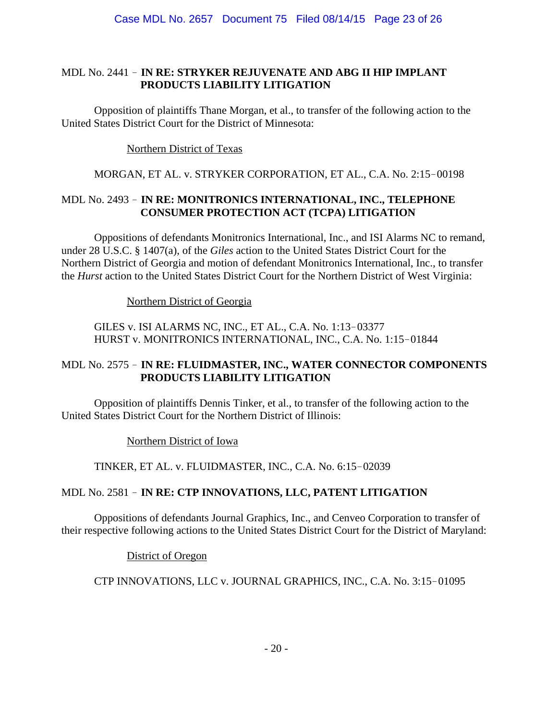### MDL No. 2441 ! **IN RE: STRYKER REJUVENATE AND ABG II HIP IMPLANT PRODUCTS LIABILITY LITIGATION**

Opposition of plaintiffs Thane Morgan, et al., to transfer of the following action to the United States District Court for the District of Minnesota:

Northern District of Texas

## MORGAN, ET AL. v. STRYKER CORPORATION, ET AL., C.A. No. 2:15-00198

## MDL No. 2493 ! **IN RE: MONITRONICS INTERNATIONAL, INC., TELEPHONE CONSUMER PROTECTION ACT (TCPA) LITIGATION**

Oppositions of defendants Monitronics International, Inc., and ISI Alarms NC to remand, under 28 U.S.C. § 1407(a), of the *Giles* action to the United States District Court for the Northern District of Georgia and motion of defendant Monitronics International, Inc., to transfer the *Hurst* action to the United States District Court for the Northern District of West Virginia:

Northern District of Georgia

GILES v. ISI ALARMS NC, INC., ET AL., C.A. No. 1:13-03377 HURST v. MONITRONICS INTERNATIONAL, INC., C.A. No. 1:15-01844

# MDL No. 2575 ! **IN RE: FLUIDMASTER, INC., WATER CONNECTOR COMPONENTS PRODUCTS LIABILITY LITIGATION**

Opposition of plaintiffs Dennis Tinker, et al., to transfer of the following action to the United States District Court for the Northern District of Illinois:

Northern District of Iowa

TINKER, ET AL. v. FLUIDMASTER, INC., C.A. No. 6:15-02039

# MDL No. 2581 ! **IN RE: CTP INNOVATIONS, LLC, PATENT LITIGATION**

Oppositions of defendants Journal Graphics, Inc., and Cenveo Corporation to transfer of their respective following actions to the United States District Court for the District of Maryland:

District of Oregon

CTP INNOVATIONS, LLC v. JOURNAL GRAPHICS, INC., C.A. No. 3:15-01095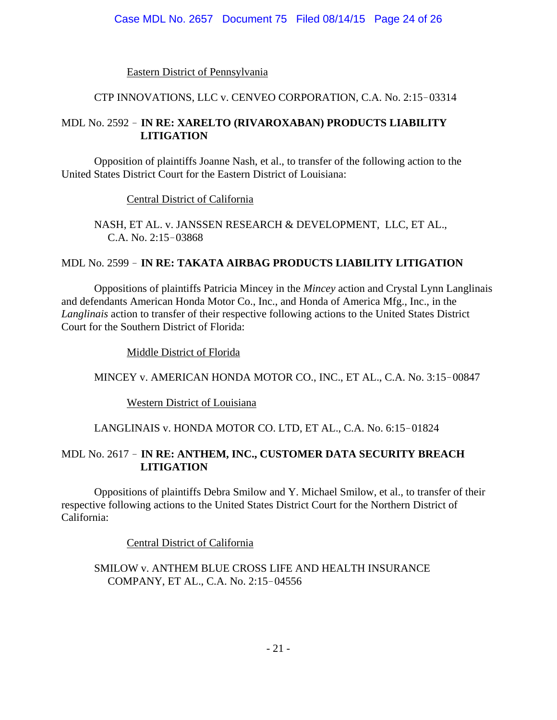## Eastern District of Pennsylvania

## CTP INNOVATIONS, LLC v. CENVEO CORPORATION, C.A. No. 2:15-03314

## MDL No. 2592 ! **IN RE: XARELTO (RIVAROXABAN) PRODUCTS LIABILITY LITIGATION**

Opposition of plaintiffs Joanne Nash, et al., to transfer of the following action to the United States District Court for the Eastern District of Louisiana:

Central District of California

NASH, ET AL. v. JANSSEN RESEARCH & DEVELOPMENT, LLC, ET AL., C.A. No.  $2:15-03868$ 

# MDL No. 2599 ! **IN RE: TAKATA AIRBAG PRODUCTS LIABILITY LITIGATION**

Oppositions of plaintiffs Patricia Mincey in the *Mincey* action and Crystal Lynn Langlinais and defendants American Honda Motor Co., Inc., and Honda of America Mfg., Inc., in the *Langlinais* action to transfer of their respective following actions to the United States District Court for the Southern District of Florida:

Middle District of Florida

# MINCEY v. AMERICAN HONDA MOTOR CO., INC., ET AL., C.A. No. 3:15-00847

Western District of Louisiana

# LANGLINAIS v. HONDA MOTOR CO. LTD, ET AL., C.A. No. 6:15-01824

## MDL No. 2617 ! **IN RE: ANTHEM, INC., CUSTOMER DATA SECURITY BREACH LITIGATION**

Oppositions of plaintiffs Debra Smilow and Y. Michael Smilow, et al., to transfer of their respective following actions to the United States District Court for the Northern District of California:

Central District of California

SMILOW v. ANTHEM BLUE CROSS LIFE AND HEALTH INSURANCE COMPANY, ET AL., C.A. No. 2:15-04556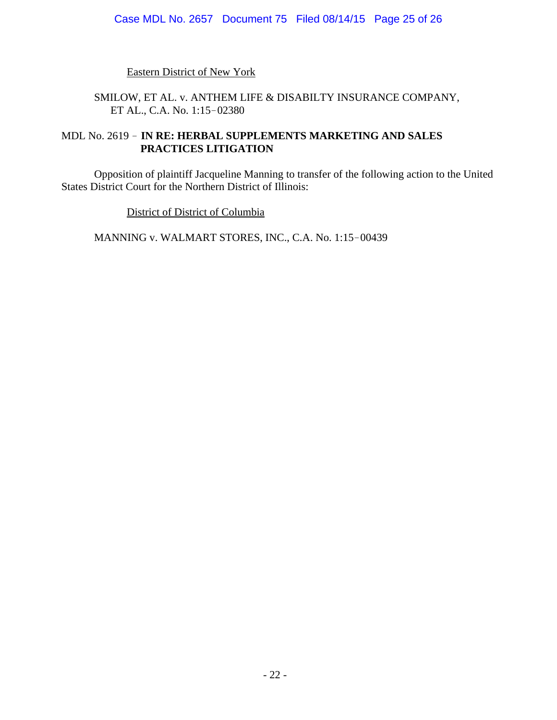Eastern District of New York

## SMILOW, ET AL. v. ANTHEM LIFE & DISABILTY INSURANCE COMPANY, ET AL., C.A. No. 1:15-02380

## MDL No. 2619 ! **IN RE: HERBAL SUPPLEMENTS MARKETING AND SALES PRACTICES LITIGATION**

Opposition of plaintiff Jacqueline Manning to transfer of the following action to the United States District Court for the Northern District of Illinois:

District of District of Columbia

MANNING v. WALMART STORES, INC., C.A. No. 1:15-00439